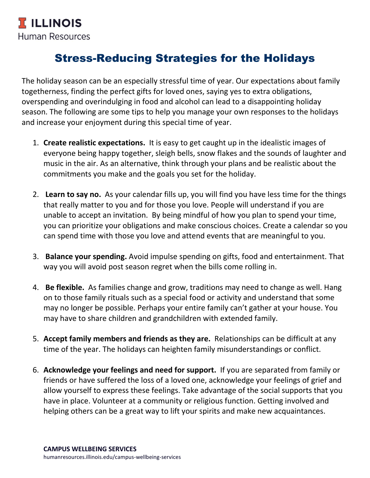## Stress-Reducing Strategies for the Holidays

The holiday season can be an especially stressful time of year. Our expectations about family togetherness, finding the perfect gifts for loved ones, saying yes to extra obligations, overspending and overindulging in food and alcohol can lead to a disappointing holiday season. The following are some tips to help you manage your own responses to the holidays and increase your enjoyment during this special time of year.

- 1. **Create realistic expectations.** It is easy to get caught up in the idealistic images of everyone being happy together, sleigh bells, snow flakes and the sounds of laughter and music in the air. As an alternative, think through your plans and be realistic about the commitments you make and the goals you set for the holiday.
- 2. **Learn to say no.** As your calendar fills up, you will find you have less time for the things that really matter to you and for those you love. People will understand if you are unable to accept an invitation. By being mindful of how you plan to spend your time, you can prioritize your obligations and make conscious choices. Create a calendar so you can spend time with those you love and attend events that are meaningful to you.
- 3. **Balance your spending.** Avoid impulse spending on gifts, food and entertainment. That way you will avoid post season regret when the bills come rolling in.
- 4. **Be flexible.** As families change and grow, traditions may need to change as well. Hang on to those family rituals such as a special food or activity and understand that some may no longer be possible. Perhaps your entire family can't gather at your house. You may have to share children and grandchildren with extended family.
- 5. **Accept family members and friends as they are.** Relationships can be difficult at any time of the year. The holidays can heighten family misunderstandings or conflict.
- 6. **Acknowledge your feelings and need for support.** If you are separated from family or friends or have suffered the loss of a loved one, acknowledge your feelings of grief and allow yourself to express these feelings. Take advantage of the social supports that you have in place. Volunteer at a community or religious function. Getting involved and helping others can be a great way to lift your spirits and make new acquaintances.